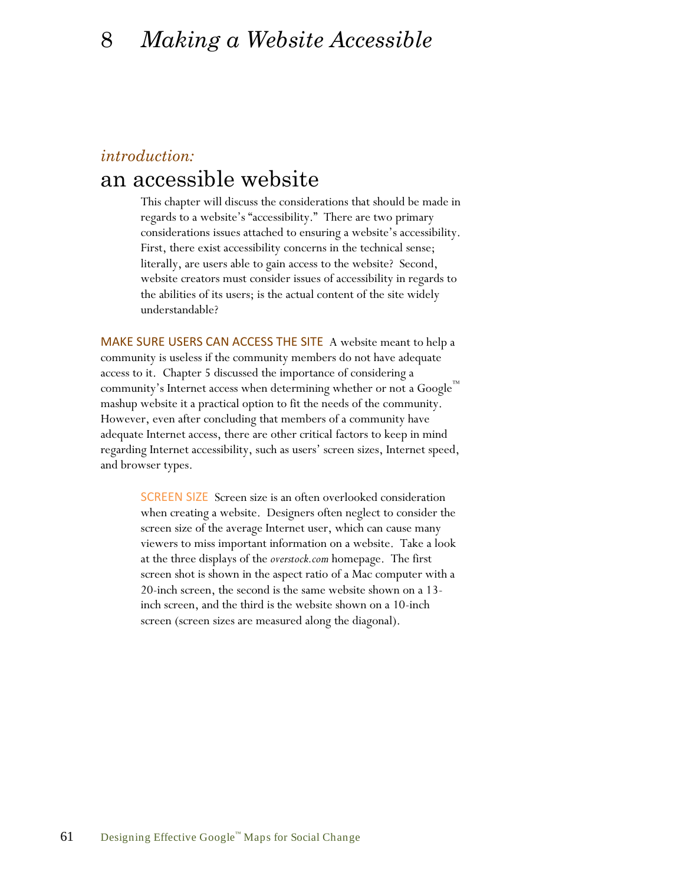# 8 *Making a Website Accessible*

### *introduction:*

# an accessible website

This chapter will discuss the considerations that should be made in regards to a website's "accessibility." There are two primary considerations issues attached to ensuring a website's accessibility. First, there exist accessibility concerns in the technical sense; literally, are users able to gain access to the website? Second, website creators must consider issues of accessibility in regards to the abilities of its users; is the actual content of the site widely understandable?

MAKE SURE USERS CAN ACCESS THE SITE A website meant to help a community is useless if the community members do not have adequate access to it. Chapter 5 discussed the importance of considering a community's Internet access when determining whether or not a Google™ mashup website it a practical option to fit the needs of the community. However, even after concluding that members of a community have adequate Internet access, there are other critical factors to keep in mind regarding Internet accessibility, such as users' screen sizes, Internet speed, and browser types.

> SCREEN SIZE Screen size is an often overlooked consideration when creating a website. Designers often neglect to consider the screen size of the average Internet user, which can cause many viewers to miss important information on a website. Take a look at the three displays of the *overstock.com* homepage. The first screen shot is shown in the aspect ratio of a Mac computer with a 20-inch screen, the second is the same website shown on a 13 inch screen, and the third is the website shown on a 10-inch screen (screen sizes are measured along the diagonal).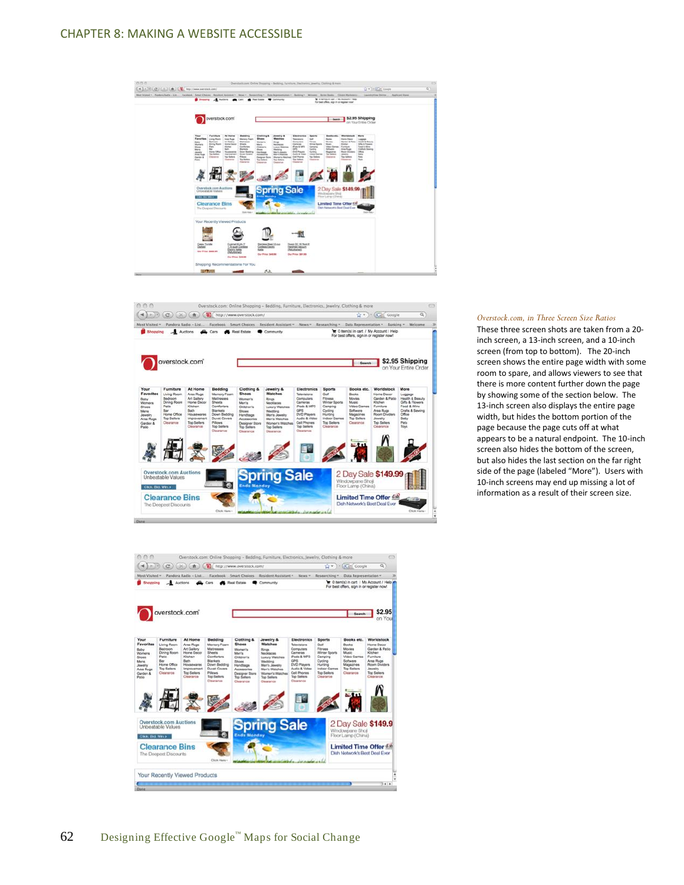





#### *Overstock.com, in Three Screen Size Ratios*

These three screen shots are taken from a 20 inch screen, a 13-inch screen, and a 10-inch screen (from top to bottom). The 20-inch screen shows the entire page width with some room to spare, and allows viewers to see that there is more content further down the page by showing some of the section below. The 13-inch screen also displays the entire page width, but hides the bottom portion of the page because the page cuts off at what appears to be a natural endpoint. The 10-inch screen also hides the bottom of the screen, but also hides the last section on the far right side of the page (labeled "More"). Users with 10-inch screens may end up missing a lot of information as a result of their screen size.